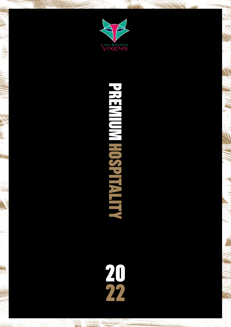

# PREM PREMIUM HOSPITALITY **ALITYLIGSOH MAIL**

20 22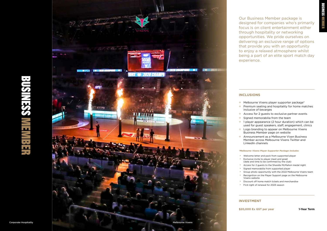Our Business Member package is designed for companies who's primarily focus is on client entertainment either through hospitality or networking opportunities. We pride ourselves on delivering an exclusive range of options that provide you with an opportunity to enjoy a relaxed atmosphere whilst being a part of an elite sport match day experience.

### **INCLUSIONS**

- $\rightarrow$  Melbourne Vixens player supporter package\*
- $\rightarrow$  Premium seating and hospitality for home matches inclusive of bevarges
- $\rightarrow$  Access for 2 guests to exclusive partner events
- $\rightarrow$  Signed memorabilia from the team
- $\rightarrow$  1 player appearance (2 hour duration) which can be used for guest speakers, staff, engagement, clinics
- $\rightarrow$  Logo branding to appear on Melbourne Vixens Business Member page on website
- $\rightarrow$  Announcement as a Melbourne Vixen Business Member across Melbourne Vixens Twitter and LinkedIn channels
- Welcome letter and pack from supported player
- Exclusive invite to player meet and greet
	- (date and time to be confirmed by the club)
- Access for 2 guests to the Sharelle McMahon medal night
- Signed memorabilia from supported player

## BUSINESS MEMBER  $\boldsymbol{\sigma}$ **SINESS**

### *\*Melbourne Vixens Player Supporter Package includes*

- 
- 
- 
- Group photo opportunity with the 2022 Melbourne Vixens team • Recognition on the Player Support page on the Melbourne
- Vixens website • Discount off home match tickets and merchandise
- First right of renewal for 2023 season

## **INVESTMENT**



**\$20,000 Ex GST per year 1-Year Term** 



- 
-